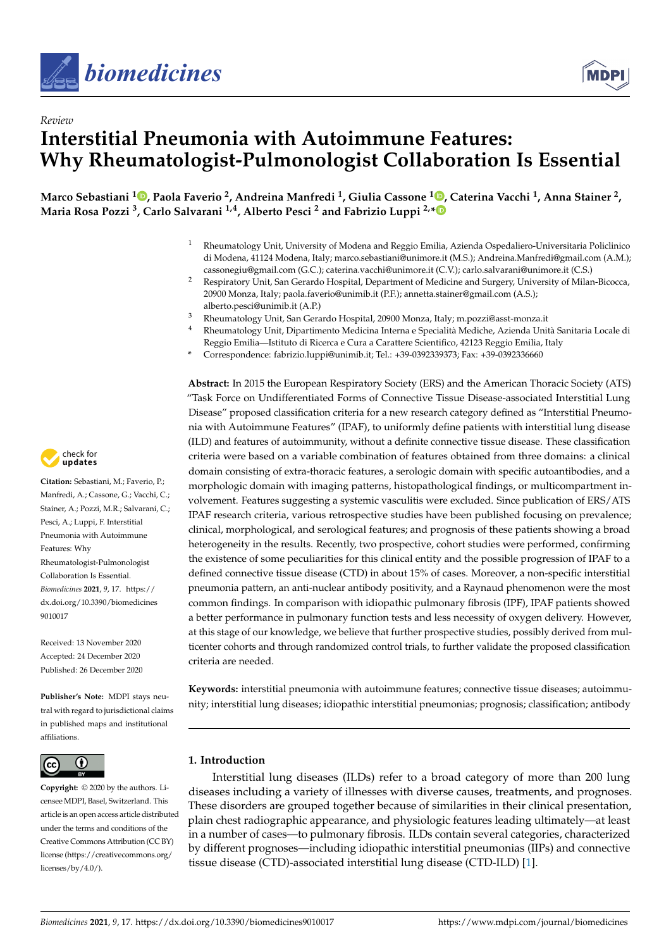



# *Review* **Interstitial Pneumonia with Autoimmune Features: Why Rheumatologist-Pulmonologist Collaboration Is Essential**

**Marco Sebastiani <sup>1</sup> [,](https://orcid.org/0000-0002-1294-6421) Paola Faverio <sup>2</sup> , Andreina Manfredi <sup>1</sup> , Giulia Cassone [1](https://orcid.org/0000-0002-3454-401X) , Caterina Vacchi <sup>1</sup> , Anna Stainer <sup>2</sup> , Maria Rosa Pozzi <sup>3</sup> , Carlo Salvarani 1,4, Alberto Pesci <sup>2</sup> and Fabrizio Luppi 2,[\\*](https://orcid.org/0000-0001-5775-5947)**

- <sup>1</sup> Rheumatology Unit, University of Modena and Reggio Emilia, Azienda Ospedaliero-Universitaria Policlinico di Modena, 41124 Modena, Italy; marco.sebastiani@unimore.it (M.S.); Andreina.Manfredi@gmail.com (A.M.); cassonegiu@gmail.com (G.C.); caterina.vacchi@unimore.it (C.V.); carlo.salvarani@unimore.it (C.S.)
- <sup>2</sup> Respiratory Unit, San Gerardo Hospital, Department of Medicine and Surgery, University of Milan-Bicocca, 20900 Monza, Italy; paola.faverio@unimib.it (P.F.); annetta.stainer@gmail.com (A.S.); alberto.pesci@unimib.it (A.P.)
- <sup>3</sup> Rheumatology Unit, San Gerardo Hospital, 20900 Monza, Italy; m.pozzi@asst-monza.it
- <sup>4</sup> Rheumatology Unit, Dipartimento Medicina Interna e Specialità Mediche, Azienda Unità Sanitaria Locale di
- Reggio Emilia—Istituto di Ricerca e Cura a Carattere Scientifico, 42123 Reggio Emilia, Italy **\*** Correspondence: fabrizio.luppi@unimib.it; Tel.: +39-0392339373; Fax: +39-0392336660

**Abstract:** In 2015 the European Respiratory Society (ERS) and the American Thoracic Society (ATS) "Task Force on Undifferentiated Forms of Connective Tissue Disease-associated Interstitial Lung Disease" proposed classification criteria for a new research category defined as "Interstitial Pneumonia with Autoimmune Features" (IPAF), to uniformly define patients with interstitial lung disease (ILD) and features of autoimmunity, without a definite connective tissue disease. These classification criteria were based on a variable combination of features obtained from three domains: a clinical domain consisting of extra-thoracic features, a serologic domain with specific autoantibodies, and a morphologic domain with imaging patterns, histopathological findings, or multicompartment involvement. Features suggesting a systemic vasculitis were excluded. Since publication of ERS/ATS IPAF research criteria, various retrospective studies have been published focusing on prevalence; clinical, morphological, and serological features; and prognosis of these patients showing a broad heterogeneity in the results. Recently, two prospective, cohort studies were performed, confirming the existence of some peculiarities for this clinical entity and the possible progression of IPAF to a defined connective tissue disease (CTD) in about 15% of cases. Moreover, a non-specific interstitial pneumonia pattern, an anti-nuclear antibody positivity, and a Raynaud phenomenon were the most common findings. In comparison with idiopathic pulmonary fibrosis (IPF), IPAF patients showed a better performance in pulmonary function tests and less necessity of oxygen delivery. However, at this stage of our knowledge, we believe that further prospective studies, possibly derived from multicenter cohorts and through randomized control trials, to further validate the proposed classification criteria are needed.

**Keywords:** interstitial pneumonia with autoimmune features; connective tissue diseases; autoimmunity; interstitial lung diseases; idiopathic interstitial pneumonias; prognosis; classification; antibody

## **1. Introduction**

Interstitial lung diseases (ILDs) refer to a broad category of more than 200 lung diseases including a variety of illnesses with diverse causes, treatments, and prognoses. These disorders are grouped together because of similarities in their clinical presentation, plain chest radiographic appearance, and physiologic features leading ultimately—at least in a number of cases—to pulmonary fibrosis. ILDs contain several categories, characterized by different prognoses—including idiopathic interstitial pneumonias (IIPs) and connective tissue disease (CTD)-associated interstitial lung disease (CTD-ILD) [\[1\]](#page-10-0).



**Citation:** Sebastiani, M.; Faverio, P.; Manfredi, A.; Cassone, G.; Vacchi, C.; Stainer, A.; Pozzi, M.R.; Salvarani, C.; Pesci, A.; Luppi, F. Interstitial Pneumonia with Autoimmune Features: Why Rheumatologist-Pulmonologist Collaboration Is Essential. *Biomedicines* **2021**, *9*, 17. [https://](https://dx.doi.org/10.3390/biomedicines9010017) [dx.doi.org/10.3390/biomedicines](https://dx.doi.org/10.3390/biomedicines9010017) [9010017](https://dx.doi.org/10.3390/biomedicines9010017)

Received: 13 November 2020 Accepted: 24 December 2020 Published: 26 December 2020

**Publisher's Note:** MDPI stays neutral with regard to jurisdictional claims in published maps and institutional affiliations.



**Copyright:** © 2020 by the authors. Licensee MDPI, Basel, Switzerland. This article is an open access article distributed under the terms and conditions of the Creative Commons Attribution (CC BY) license [\(https://creativecommons.org/](https://creativecommons.org/licenses/by/4.0/) [licenses/by/4.0/\)](https://creativecommons.org/licenses/by/4.0/).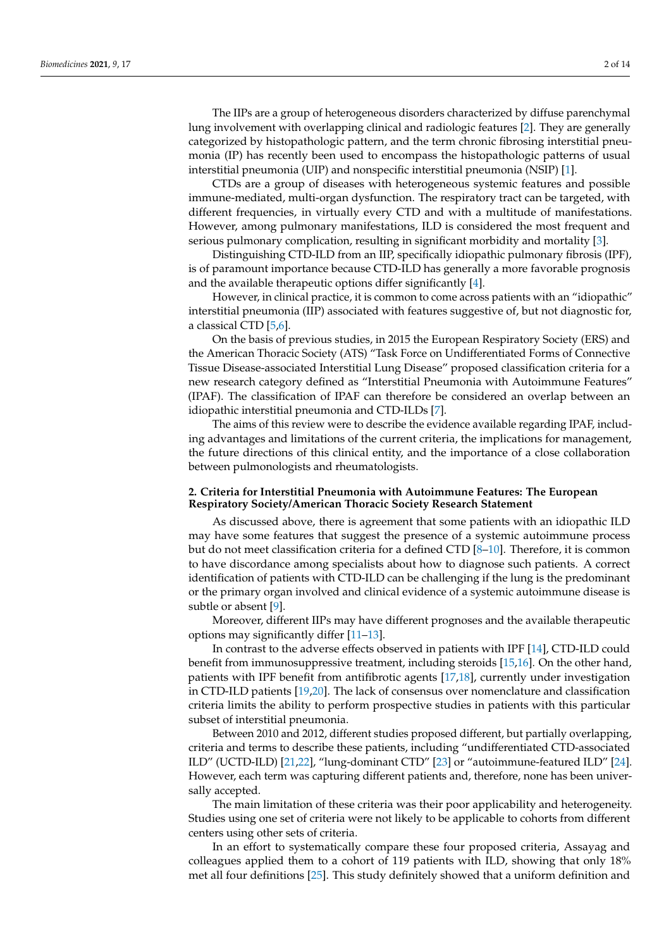The IIPs are a group of heterogeneous disorders characterized by diffuse parenchymal lung involvement with overlapping clinical and radiologic features [\[2\]](#page-10-1). They are generally categorized by histopathologic pattern, and the term chronic fibrosing interstitial pneumonia (IP) has recently been used to encompass the histopathologic patterns of usual interstitial pneumonia (UIP) and nonspecific interstitial pneumonia (NSIP) [\[1\]](#page-10-0).

CTDs are a group of diseases with heterogeneous systemic features and possible immune-mediated, multi-organ dysfunction. The respiratory tract can be targeted, with different frequencies, in virtually every CTD and with a multitude of manifestations. However, among pulmonary manifestations, ILD is considered the most frequent and serious pulmonary complication, resulting in significant morbidity and mortality [\[3\]](#page-10-2).

Distinguishing CTD-ILD from an IIP, specifically idiopathic pulmonary fibrosis (IPF), is of paramount importance because CTD-ILD has generally a more favorable prognosis and the available therapeutic options differ significantly [\[4\]](#page-10-3).

However, in clinical practice, it is common to come across patients with an "idiopathic" interstitial pneumonia (IIP) associated with features suggestive of, but not diagnostic for, a classical CTD [\[5](#page-10-4)[,6\]](#page-10-5).

On the basis of previous studies, in 2015 the European Respiratory Society (ERS) and the American Thoracic Society (ATS) "Task Force on Undifferentiated Forms of Connective Tissue Disease-associated Interstitial Lung Disease" proposed classification criteria for a new research category defined as "Interstitial Pneumonia with Autoimmune Features" (IPAF). The classification of IPAF can therefore be considered an overlap between an idiopathic interstitial pneumonia and CTD-ILDs [\[7\]](#page-10-6).

The aims of this review were to describe the evidence available regarding IPAF, including advantages and limitations of the current criteria, the implications for management, the future directions of this clinical entity, and the importance of a close collaboration between pulmonologists and rheumatologists.

#### **2. Criteria for Interstitial Pneumonia with Autoimmune Features: The European Respiratory Society/American Thoracic Society Research Statement**

As discussed above, there is agreement that some patients with an idiopathic ILD may have some features that suggest the presence of a systemic autoimmune process but do not meet classification criteria for a defined CTD [\[8](#page-10-7)[–10\]](#page-10-8). Therefore, it is common to have discordance among specialists about how to diagnose such patients. A correct identification of patients with CTD-ILD can be challenging if the lung is the predominant or the primary organ involved and clinical evidence of a systemic autoimmune disease is subtle or absent [\[9\]](#page-10-9).

Moreover, different IIPs may have different prognoses and the available therapeutic options may significantly differ [\[11](#page-10-10)[–13\]](#page-10-11).

In contrast to the adverse effects observed in patients with IPF [\[14\]](#page-10-12), CTD-ILD could benefit from immunosuppressive treatment, including steroids [\[15,](#page-10-13)[16\]](#page-10-14). On the other hand, patients with IPF benefit from antifibrotic agents [\[17,](#page-10-15)[18\]](#page-10-16), currently under investigation in CTD-ILD patients [\[19,](#page-10-17)[20\]](#page-10-18). The lack of consensus over nomenclature and classification criteria limits the ability to perform prospective studies in patients with this particular subset of interstitial pneumonia.

Between 2010 and 2012, different studies proposed different, but partially overlapping, criteria and terms to describe these patients, including "undifferentiated CTD-associated ILD" (UCTD-ILD) [\[21,](#page-11-0)[22\]](#page-11-1), "lung-dominant CTD" [\[23\]](#page-11-2) or "autoimmune-featured ILD" [\[24\]](#page-11-3). However, each term was capturing different patients and, therefore, none has been universally accepted.

The main limitation of these criteria was their poor applicability and heterogeneity. Studies using one set of criteria were not likely to be applicable to cohorts from different centers using other sets of criteria.

In an effort to systematically compare these four proposed criteria, Assayag and colleagues applied them to a cohort of 119 patients with ILD, showing that only 18% met all four definitions [\[25\]](#page-11-4). This study definitely showed that a uniform definition and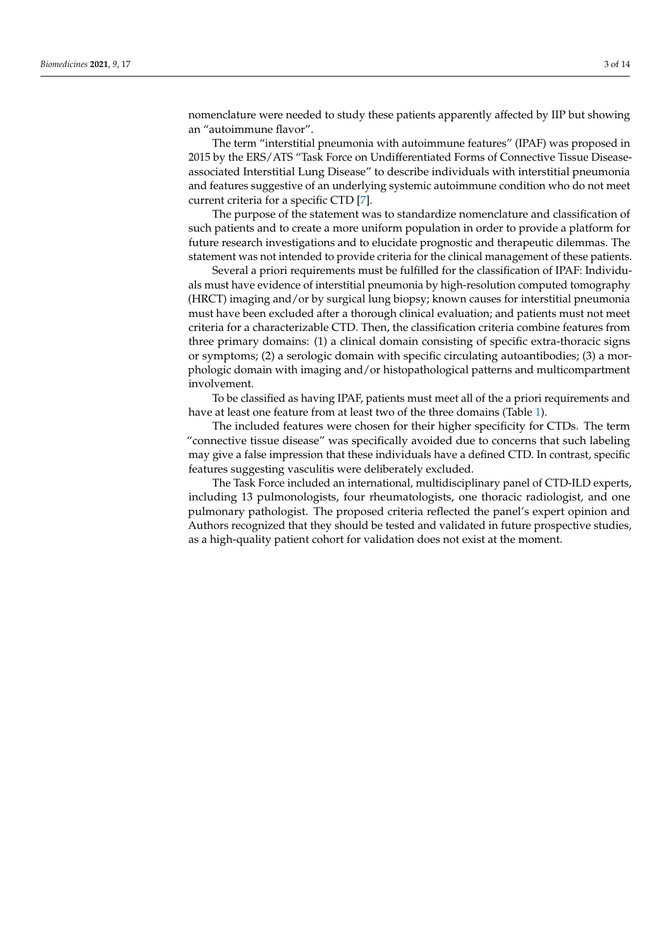nomenclature were needed to study these patients apparently affected by IIP but showing an "autoimmune flavor".

The term "interstitial pneumonia with autoimmune features" (IPAF) was proposed in 2015 by the ERS/ATS "Task Force on Undifferentiated Forms of Connective Tissue Diseaseassociated Interstitial Lung Disease" to describe individuals with interstitial pneumonia and features suggestive of an underlying systemic autoimmune condition who do not meet current criteria for a specific CTD [\[7\]](#page-10-6).

The purpose of the statement was to standardize nomenclature and classification of such patients and to create a more uniform population in order to provide a platform for future research investigations and to elucidate prognostic and therapeutic dilemmas. The statement was not intended to provide criteria for the clinical management of these patients.

Several a priori requirements must be fulfilled for the classification of IPAF: Individuals must have evidence of interstitial pneumonia by high-resolution computed tomography (HRCT) imaging and/or by surgical lung biopsy; known causes for interstitial pneumonia must have been excluded after a thorough clinical evaluation; and patients must not meet criteria for a characterizable CTD. Then, the classification criteria combine features from three primary domains: (1) a clinical domain consisting of specific extra-thoracic signs or symptoms; (2) a serologic domain with specific circulating autoantibodies; (3) a morphologic domain with imaging and/or histopathological patterns and multicompartment involvement.

To be classified as having IPAF, patients must meet all of the a priori requirements and have at least one feature from at least two of the three domains (Table [1\)](#page-3-0).

The included features were chosen for their higher specificity for CTDs. The term "connective tissue disease" was specifically avoided due to concerns that such labeling may give a false impression that these individuals have a defined CTD. In contrast, specific features suggesting vasculitis were deliberately excluded.

The Task Force included an international, multidisciplinary panel of CTD-ILD experts, including 13 pulmonologists, four rheumatologists, one thoracic radiologist, and one pulmonary pathologist. The proposed criteria reflected the panel's expert opinion and Authors recognized that they should be tested and validated in future prospective studies, as a high-quality patient cohort for validation does not exist at the moment.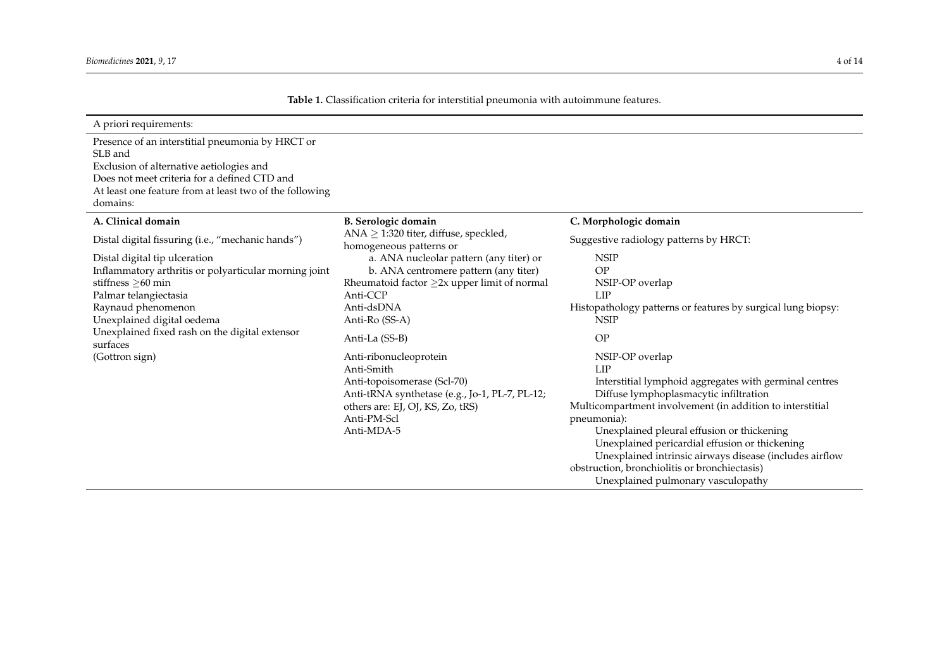<span id="page-3-0"></span>

| A priori requirements:                                                                                                                                                                                                                                       |                                                                                                                                                                                                     |                                                                                                                                                                                                                                                                                                                                                                                                                                                          |  |  |  |
|--------------------------------------------------------------------------------------------------------------------------------------------------------------------------------------------------------------------------------------------------------------|-----------------------------------------------------------------------------------------------------------------------------------------------------------------------------------------------------|----------------------------------------------------------------------------------------------------------------------------------------------------------------------------------------------------------------------------------------------------------------------------------------------------------------------------------------------------------------------------------------------------------------------------------------------------------|--|--|--|
| Presence of an interstitial pneumonia by HRCT or<br>SLB and<br>Exclusion of alternative aetiologies and<br>Does not meet criteria for a defined CTD and<br>At least one feature from at least two of the following<br>domains:                               |                                                                                                                                                                                                     |                                                                                                                                                                                                                                                                                                                                                                                                                                                          |  |  |  |
| A. Clinical domain                                                                                                                                                                                                                                           | <b>B.</b> Serologic domain                                                                                                                                                                          | C. Morphologic domain                                                                                                                                                                                                                                                                                                                                                                                                                                    |  |  |  |
| Distal digital fissuring (i.e., "mechanic hands")                                                                                                                                                                                                            | ANA $\geq$ 1:320 titer, diffuse, speckled,<br>homogeneous patterns or                                                                                                                               | Suggestive radiology patterns by HRCT:                                                                                                                                                                                                                                                                                                                                                                                                                   |  |  |  |
| Distal digital tip ulceration<br>Inflammatory arthritis or polyarticular morning joint<br>stiffness $\geq 60$ min<br>Palmar telangiectasia<br>Raynaud phenomenon<br>Unexplained digital oedema<br>Unexplained fixed rash on the digital extensor<br>surfaces | a. ANA nucleolar pattern (any titer) or<br>b. ANA centromere pattern (any titer)<br>Rheumatoid factor $\geq$ 2x upper limit of normal<br>Anti-CCP<br>Anti-dsDNA<br>Anti-Ro (SS-A)<br>Anti-La (SS-B) | <b>NSIP</b><br><b>OP</b><br>NSIP-OP overlap<br>LIP<br>Histopathology patterns or features by surgical lung biopsy:<br><b>NSIP</b><br>OP                                                                                                                                                                                                                                                                                                                  |  |  |  |
| (Gottron sign)                                                                                                                                                                                                                                               | Anti-ribonucleoprotein<br>Anti-Smith<br>Anti-topoisomerase (Scl-70)<br>Anti-tRNA synthetase (e.g., Jo-1, PL-7, PL-12;<br>others are: EJ, OJ, KS, Zo, tRS)<br>Anti-PM-Scl<br>Anti-MDA-5              | NSIP-OP overlap<br>LIP<br>Interstitial lymphoid aggregates with germinal centres<br>Diffuse lymphoplasmacytic infiltration<br>Multicompartment involvement (in addition to interstitial<br>pneumonia):<br>Unexplained pleural effusion or thickening<br>Unexplained pericardial effusion or thickening<br>Unexplained intrinsic airways disease (includes airflow<br>obstruction, bronchiolitis or bronchiectasis)<br>Unexplained pulmonary vasculopathy |  |  |  |

**Table 1.** Classification criteria for interstitial pneumonia with autoimmune features.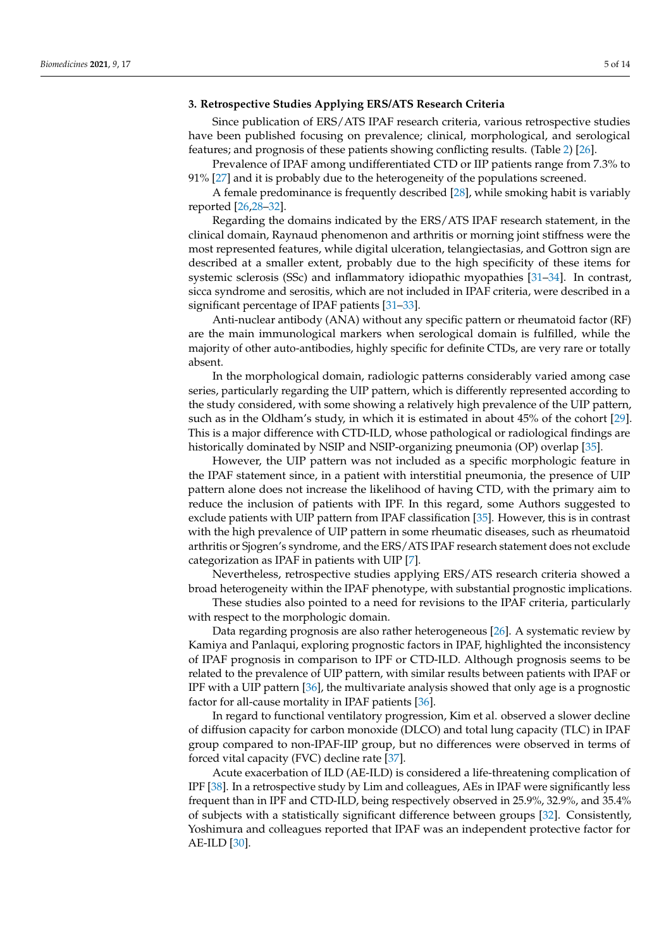# **3. Retrospective Studies Applying ERS/ATS Research Criteria**

Since publication of ERS/ATS IPAF research criteria, various retrospective studies have been published focusing on prevalence; clinical, morphological, and serological features; and prognosis of these patients showing conflicting results. (Table [2\)](#page-5-0) [\[26\]](#page-11-5).

Prevalence of IPAF among undifferentiated CTD or IIP patients range from 7.3% to 91% [\[27\]](#page-11-6) and it is probably due to the heterogeneity of the populations screened.

A female predominance is frequently described [\[28\]](#page-11-7), while smoking habit is variably reported [\[26,](#page-11-5)[28](#page-11-7)[–32\]](#page-11-8).

Regarding the domains indicated by the ERS/ATS IPAF research statement, in the clinical domain, Raynaud phenomenon and arthritis or morning joint stiffness were the most represented features, while digital ulceration, telangiectasias, and Gottron sign are described at a smaller extent, probably due to the high specificity of these items for systemic sclerosis (SSc) and inflammatory idiopathic myopathies [\[31–](#page-11-9)[34\]](#page-11-10). In contrast, sicca syndrome and serositis, which are not included in IPAF criteria, were described in a significant percentage of IPAF patients [\[31–](#page-11-9)[33\]](#page-11-11).

Anti-nuclear antibody (ANA) without any specific pattern or rheumatoid factor (RF) are the main immunological markers when serological domain is fulfilled, while the majority of other auto-antibodies, highly specific for definite CTDs, are very rare or totally absent.

In the morphological domain, radiologic patterns considerably varied among case series, particularly regarding the UIP pattern, which is differently represented according to the study considered, with some showing a relatively high prevalence of the UIP pattern, such as in the Oldham's study, in which it is estimated in about 45% of the cohort [\[29\]](#page-11-12). This is a major difference with CTD-ILD, whose pathological or radiological findings are historically dominated by NSIP and NSIP-organizing pneumonia (OP) overlap [\[35\]](#page-11-13).

However, the UIP pattern was not included as a specific morphologic feature in the IPAF statement since, in a patient with interstitial pneumonia, the presence of UIP pattern alone does not increase the likelihood of having CTD, with the primary aim to reduce the inclusion of patients with IPF. In this regard, some Authors suggested to exclude patients with UIP pattern from IPAF classification [\[35\]](#page-11-13). However, this is in contrast with the high prevalence of UIP pattern in some rheumatic diseases, such as rheumatoid arthritis or Sjogren's syndrome, and the ERS/ATS IPAF research statement does not exclude categorization as IPAF in patients with UIP [\[7\]](#page-10-6).

Nevertheless, retrospective studies applying ERS/ATS research criteria showed a broad heterogeneity within the IPAF phenotype, with substantial prognostic implications.

These studies also pointed to a need for revisions to the IPAF criteria, particularly with respect to the morphologic domain.

Data regarding prognosis are also rather heterogeneous [\[26\]](#page-11-5). A systematic review by Kamiya and Panlaqui, exploring prognostic factors in IPAF, highlighted the inconsistency of IPAF prognosis in comparison to IPF or CTD-ILD. Although prognosis seems to be related to the prevalence of UIP pattern, with similar results between patients with IPAF or IPF with a UIP pattern [\[36\]](#page-11-14), the multivariate analysis showed that only age is a prognostic factor for all-cause mortality in IPAF patients [\[36\]](#page-11-14).

In regard to functional ventilatory progression, Kim et al. observed a slower decline of diffusion capacity for carbon monoxide (DLCO) and total lung capacity (TLC) in IPAF group compared to non-IPAF-IIP group, but no differences were observed in terms of forced vital capacity (FVC) decline rate [\[37\]](#page-11-15).

Acute exacerbation of ILD (AE-ILD) is considered a life-threatening complication of IPF [\[38\]](#page-11-16). In a retrospective study by Lim and colleagues, AEs in IPAF were significantly less frequent than in IPF and CTD-ILD, being respectively observed in 25.9%, 32.9%, and 35.4% of subjects with a statistically significant difference between groups [\[32\]](#page-11-8). Consistently, Yoshimura and colleagues reported that IPAF was an independent protective factor for AE-ILD [\[30\]](#page-11-17).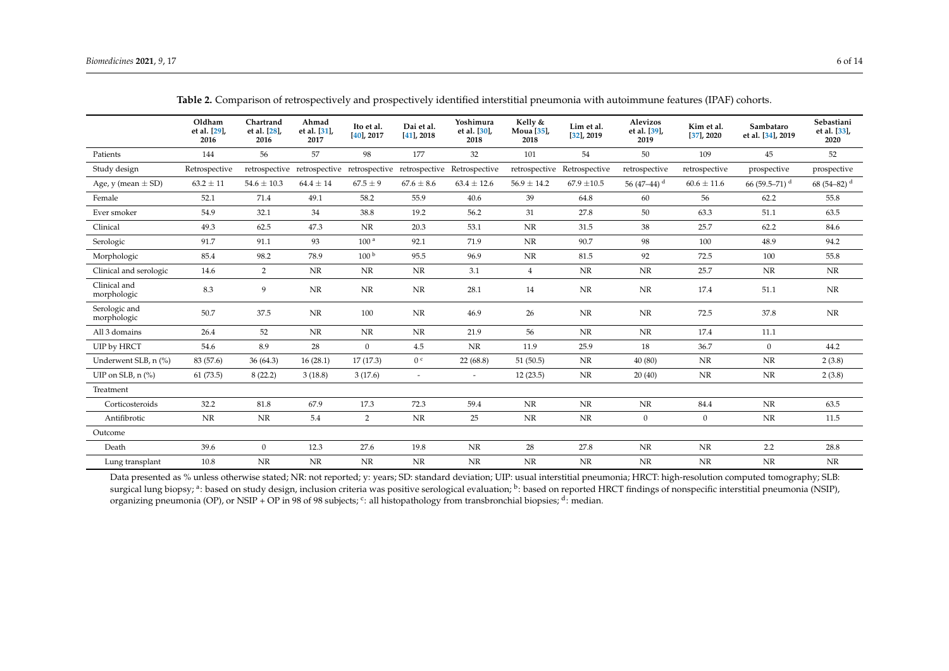|                                    | Oldham<br>et al. [29],<br>2016 | Chartrand<br>et al. [28],<br>2016 | Ahmad<br>et al. [31],<br>2017 | Ito et al.<br>$[40]$ , 2017 | Dai et al.<br>$[41]$ , 2018 | Yoshimura<br>et al. [30],<br>2018                                     | Kelly &<br>Moua [35],<br>2018 | Lim et al.<br>$[32]$ , 2019 | <b>Alevizos</b><br>et al. [39],<br>2019 | Kim et al.<br>$[37]$ , 2020 | Sambataro<br>et al. [34], 2019 | Sebastiani<br>et al. [33],<br>2020 |
|------------------------------------|--------------------------------|-----------------------------------|-------------------------------|-----------------------------|-----------------------------|-----------------------------------------------------------------------|-------------------------------|-----------------------------|-----------------------------------------|-----------------------------|--------------------------------|------------------------------------|
| Patients                           | 144                            | 56                                | 57                            | 98                          | 177                         | 32                                                                    | 101                           | 54                          | 50                                      | 109                         | 45                             | 52                                 |
| Study design                       | Retrospective                  |                                   |                               |                             |                             | retrospective retrospective retrospective retrospective Retrospective |                               | retrospective Retrospective | retrospective                           | retrospective               | prospective                    | prospective                        |
| Age, y (mean $\pm$ SD)             | $63.2 \pm 11$                  | $54.6 \pm 10.3$                   | $64.4 \pm 14$                 | $67.5 \pm 9$                | $67.6 \pm 8.6$              | $63.4 \pm 12.6$                                                       | $56.9 \pm 14.2$               | $67.9 \pm 10.5$             | 56 (47–44) $^{\rm d}$                   | $60.6 \pm 11.6$             | 66 (59.5–71) <sup>d</sup>      | 68 (54–82) $^{\rm d}$              |
| Female                             | 52.1                           | 71.4                              | 49.1                          | 58.2                        | 55.9                        | 40.6                                                                  | 39                            | 64.8                        | 60                                      | 56                          | 62.2                           | 55.8                               |
| Ever smoker                        | 54.9                           | 32.1                              | 34                            | 38.8                        | 19.2                        | 56.2                                                                  | 31                            | 27.8                        | 50                                      | 63.3                        | 51.1                           | 63.5                               |
| Clinical                           | 49.3                           | 62.5                              | 47.3                          | NR                          | 20.3                        | 53.1                                                                  | NR                            | 31.5                        | 38                                      | 25.7                        | 62.2                           | 84.6                               |
| Serologic                          | 91.7                           | 91.1                              | 93                            | 100 <sup>a</sup>            | 92.1                        | 71.9                                                                  | NR                            | 90.7                        | 98                                      | 100                         | 48.9                           | 94.2                               |
| Morphologic                        | 85.4                           | 98.2                              | 78.9                          | 100 <sup>b</sup>            | 95.5                        | 96.9                                                                  | NR                            | 81.5                        | 92                                      | 72.5                        | 100                            | 55.8                               |
| Clinical and serologic             | 14.6                           | $\overline{2}$                    | NR                            | NR                          | NR                          | 3.1                                                                   | $\overline{4}$                | NR                          | NR                                      | 25.7                        | NR                             | NR                                 |
| Clinical and<br>morphologic        | 8.3                            | 9                                 | NR                            | NR                          | NR                          | 28.1                                                                  | 14                            | NR                          | <b>NR</b>                               | 17.4                        | 51.1                           | $\rm{NR}$                          |
| Serologic and<br>morphologic       | 50.7                           | 37.5                              | NR                            | 100                         | NR                          | 46.9                                                                  | 26                            | NR                          | NR                                      | 72.5                        | 37.8                           | <b>NR</b>                          |
| All 3 domains                      | 26.4                           | 52                                | NR                            | NR                          | NR                          | 21.9                                                                  | 56                            | NR                          | NR                                      | 17.4                        | 11.1                           |                                    |
| UIP by HRCT                        | 54.6                           | 8.9                               | 28                            | $\overline{0}$              | 4.5                         | NR                                                                    | 11.9                          | 25.9                        | 18                                      | 36.7                        | $\mathbf{0}$                   | 44.2                               |
| Underwent SLB, n (%)               | 83 (57.6)                      | 36(64.3)                          | 16(28.1)                      | 17(17.3)                    | 0 <sup>c</sup>              | 22(68.8)                                                              | 51(50.5)                      | NR                          | 40(80)                                  | NR                          | NR                             | 2(3.8)                             |
| UIP on SLB, $n$ $\left(\% \right)$ | 61(73.5)                       | 8(22.2)                           | 3(18.8)                       | 3(17.6)                     | $\overline{\phantom{a}}$    | $\sim$                                                                | 12(23.5)                      | NR                          | 20(40)                                  | NR                          | NR                             | 2(3.8)                             |
| Treatment                          |                                |                                   |                               |                             |                             |                                                                       |                               |                             |                                         |                             |                                |                                    |
| Corticosteroids                    | 32.2                           | 81.8                              | 67.9                          | 17.3                        | 72.3                        | 59.4                                                                  | NR                            | NR                          | NR                                      | 84.4                        | NR                             | 63.5                               |
| Antifibrotic                       | <b>NR</b>                      | NR                                | 5.4                           | $\overline{2}$              | NR                          | 25                                                                    | NR                            | NR                          | $\mathbf{0}$                            | $\boldsymbol{0}$            | NR                             | 11.5                               |
| Outcome                            |                                |                                   |                               |                             |                             |                                                                       |                               |                             |                                         |                             |                                |                                    |
| Death                              | 39.6                           | $\overline{0}$                    | 12.3                          | 27.6                        | 19.8                        | NR                                                                    | 28                            | 27.8                        | NR                                      | $\rm{NR}$                   | 2.2                            | 28.8                               |
| Lung transplant                    | 10.8                           | $\rm{NR}$                         | $\rm{NR}$                     | NR                          | $\rm NR$                    | NR                                                                    | NR                            | NR                          | NR                                      | NR                          | NR                             | NR                                 |

**Table 2.** Comparison of retrospectively and prospectively identified interstitial pneumonia with autoimmune features (IPAF) cohorts.

<span id="page-5-0"></span>Data presented as % unless otherwise stated; NR: not reported; y: years; SD: standard deviation; UIP: usual interstitial pneumonia; HRCT: high-resolution computed tomography; SLB: surgical lung biopsy; <sup>a</sup>: based on study design, inclusion criteria was positive serological evaluation; <sup>b</sup>: based on reported HRCT findings of nonspecific interstitial pneumonia (NSIP), organizing pneumonia (OP), or NSIP + OP in 98 of 98 subjects; <sup>c</sup>: all histopathology from transbronchial biopsies; <sup>d</sup>: median.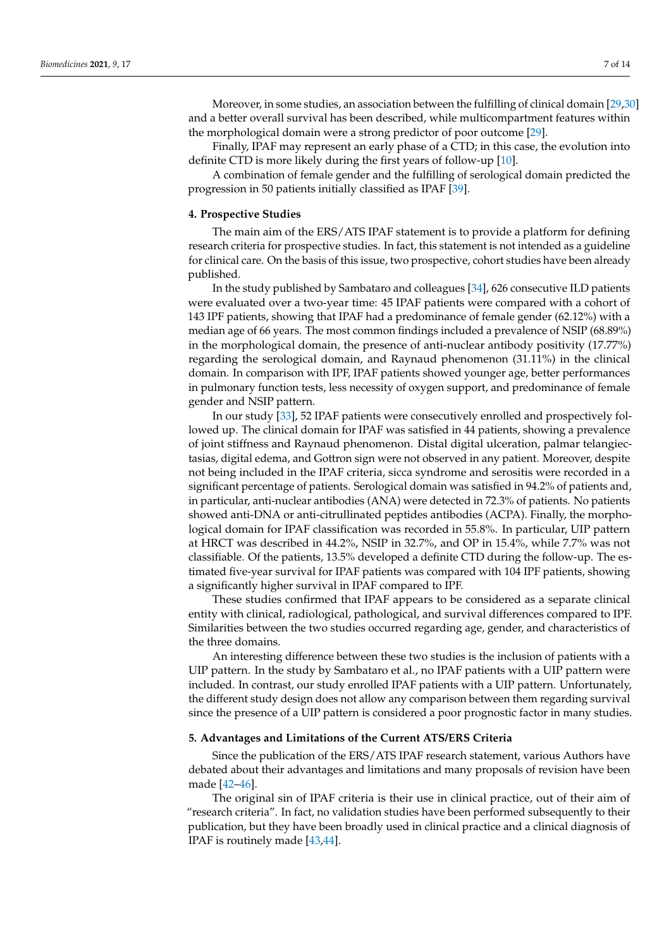Moreover, in some studies, an association between the fulfilling of clinical domain [\[29](#page-11-12)[,30\]](#page-11-17) and a better overall survival has been described, while multicompartment features within the morphological domain were a strong predictor of poor outcome [\[29\]](#page-11-12).

Finally, IPAF may represent an early phase of a CTD; in this case, the evolution into definite CTD is more likely during the first years of follow-up [\[10\]](#page-10-8).

A combination of female gender and the fulfilling of serological domain predicted the progression in 50 patients initially classified as IPAF [\[39\]](#page-11-30).

#### **4. Prospective Studies**

The main aim of the ERS/ATS IPAF statement is to provide a platform for defining research criteria for prospective studies. In fact, this statement is not intended as a guideline for clinical care. On the basis of this issue, two prospective, cohort studies have been already published.

In the study published by Sambataro and colleagues [\[34\]](#page-11-10), 626 consecutive ILD patients were evaluated over a two-year time: 45 IPAF patients were compared with a cohort of 143 IPF patients, showing that IPAF had a predominance of female gender (62.12%) with a median age of 66 years. The most common findings included a prevalence of NSIP (68.89%) in the morphological domain, the presence of anti-nuclear antibody positivity (17.77%) regarding the serological domain, and Raynaud phenomenon (31.11%) in the clinical domain. In comparison with IPF, IPAF patients showed younger age, better performances in pulmonary function tests, less necessity of oxygen support, and predominance of female gender and NSIP pattern.

In our study [\[33\]](#page-11-11), 52 IPAF patients were consecutively enrolled and prospectively followed up. The clinical domain for IPAF was satisfied in 44 patients, showing a prevalence of joint stiffness and Raynaud phenomenon. Distal digital ulceration, palmar telangiectasias, digital edema, and Gottron sign were not observed in any patient. Moreover, despite not being included in the IPAF criteria, sicca syndrome and serositis were recorded in a significant percentage of patients. Serological domain was satisfied in 94.2% of patients and, in particular, anti-nuclear antibodies (ANA) were detected in 72.3% of patients. No patients showed anti-DNA or anti-citrullinated peptides antibodies (ACPA). Finally, the morphological domain for IPAF classification was recorded in 55.8%. In particular, UIP pattern at HRCT was described in 44.2%, NSIP in 32.7%, and OP in 15.4%, while 7.7% was not classifiable. Of the patients, 13.5% developed a definite CTD during the follow-up. The estimated five-year survival for IPAF patients was compared with 104 IPF patients, showing a significantly higher survival in IPAF compared to IPF.

These studies confirmed that IPAF appears to be considered as a separate clinical entity with clinical, radiological, pathological, and survival differences compared to IPF. Similarities between the two studies occurred regarding age, gender, and characteristics of the three domains.

An interesting difference between these two studies is the inclusion of patients with a UIP pattern. In the study by Sambataro et al., no IPAF patients with a UIP pattern were included. In contrast, our study enrolled IPAF patients with a UIP pattern. Unfortunately, the different study design does not allow any comparison between them regarding survival since the presence of a UIP pattern is considered a poor prognostic factor in many studies.

#### **5. Advantages and Limitations of the Current ATS/ERS Criteria**

Since the publication of the ERS/ATS IPAF research statement, various Authors have debated about their advantages and limitations and many proposals of revision have been made [\[42–](#page-11-31)[46\]](#page-12-0).

The original sin of IPAF criteria is their use in clinical practice, out of their aim of "research criteria". In fact, no validation studies have been performed subsequently to their publication, but they have been broadly used in clinical practice and a clinical diagnosis of IPAF is routinely made [\[43](#page-11-32)[,44\]](#page-11-33).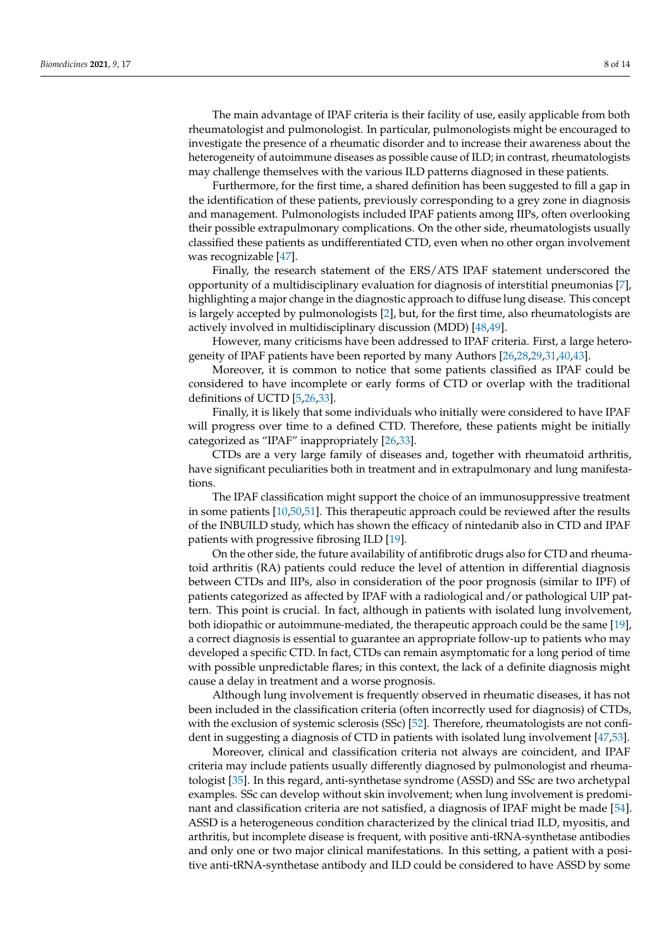The main advantage of IPAF criteria is their facility of use, easily applicable from both rheumatologist and pulmonologist. In particular, pulmonologists might be encouraged to investigate the presence of a rheumatic disorder and to increase their awareness about the heterogeneity of autoimmune diseases as possible cause of ILD; in contrast, rheumatologists may challenge themselves with the various ILD patterns diagnosed in these patients.

Furthermore, for the first time, a shared definition has been suggested to fill a gap in the identification of these patients, previously corresponding to a grey zone in diagnosis and management. Pulmonologists included IPAF patients among IIPs, often overlooking their possible extrapulmonary complications. On the other side, rheumatologists usually classified these patients as undifferentiated CTD, even when no other organ involvement was recognizable [\[47\]](#page-12-1).

Finally, the research statement of the ERS/ATS IPAF statement underscored the opportunity of a multidisciplinary evaluation for diagnosis of interstitial pneumonias [\[7\]](#page-10-6), highlighting a major change in the diagnostic approach to diffuse lung disease. This concept is largely accepted by pulmonologists [\[2\]](#page-10-1), but, for the first time, also rheumatologists are actively involved in multidisciplinary discussion (MDD) [\[48](#page-12-2)[,49\]](#page-12-3).

However, many criticisms have been addressed to IPAF criteria. First, a large heterogeneity of IPAF patients have been reported by many Authors [\[26](#page-11-5)[,28,](#page-11-7)[29,](#page-11-12)[31,](#page-11-9)[40,](#page-11-34)[43\]](#page-11-32).

Moreover, it is common to notice that some patients classified as IPAF could be considered to have incomplete or early forms of CTD or overlap with the traditional definitions of UCTD [\[5,](#page-10-4)[26,](#page-11-5)[33\]](#page-11-11).

Finally, it is likely that some individuals who initially were considered to have IPAF will progress over time to a defined CTD. Therefore, these patients might be initially categorized as "IPAF" inappropriately [\[26,](#page-11-5)[33\]](#page-11-11).

CTDs are a very large family of diseases and, together with rheumatoid arthritis, have significant peculiarities both in treatment and in extrapulmonary and lung manifestations.

The IPAF classification might support the choice of an immunosuppressive treatment in some patients [\[10,](#page-10-8)[50,](#page-12-4)[51\]](#page-12-5). This therapeutic approach could be reviewed after the results of the INBUILD study, which has shown the efficacy of nintedanib also in CTD and IPAF patients with progressive fibrosing ILD [\[19\]](#page-10-17).

On the other side, the future availability of antifibrotic drugs also for CTD and rheumatoid arthritis (RA) patients could reduce the level of attention in differential diagnosis between CTDs and IIPs, also in consideration of the poor prognosis (similar to IPF) of patients categorized as affected by IPAF with a radiological and/or pathological UIP pattern. This point is crucial. In fact, although in patients with isolated lung involvement, both idiopathic or autoimmune-mediated, the therapeutic approach could be the same [\[19\]](#page-10-17), a correct diagnosis is essential to guarantee an appropriate follow-up to patients who may developed a specific CTD. In fact, CTDs can remain asymptomatic for a long period of time with possible unpredictable flares; in this context, the lack of a definite diagnosis might cause a delay in treatment and a worse prognosis.

Although lung involvement is frequently observed in rheumatic diseases, it has not been included in the classification criteria (often incorrectly used for diagnosis) of CTDs, with the exclusion of systemic sclerosis (SSc) [\[52\]](#page-12-6). Therefore, rheumatologists are not confident in suggesting a diagnosis of CTD in patients with isolated lung involvement [\[47,](#page-12-1)[53\]](#page-12-7).

Moreover, clinical and classification criteria not always are coincident, and IPAF criteria may include patients usually differently diagnosed by pulmonologist and rheumatologist [\[35\]](#page-11-13). In this regard, anti-synthetase syndrome (ASSD) and SSc are two archetypal examples. SSc can develop without skin involvement; when lung involvement is predominant and classification criteria are not satisfied, a diagnosis of IPAF might be made [\[54\]](#page-12-8). ASSD is a heterogeneous condition characterized by the clinical triad ILD, myositis, and arthritis, but incomplete disease is frequent, with positive anti-tRNA-synthetase antibodies and only one or two major clinical manifestations. In this setting, a patient with a positive anti-tRNA-synthetase antibody and ILD could be considered to have ASSD by some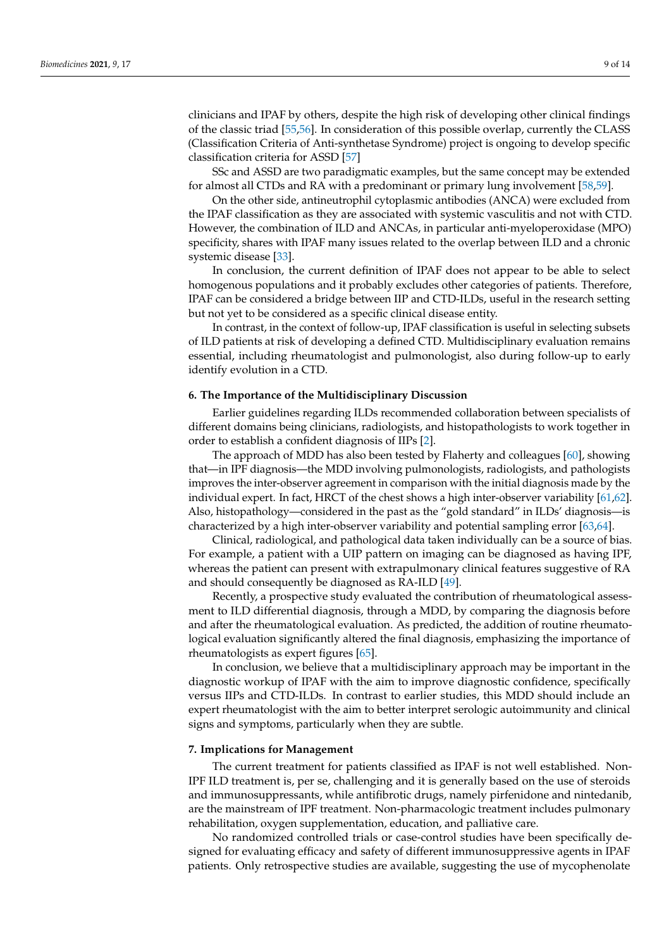clinicians and IPAF by others, despite the high risk of developing other clinical findings of the classic triad [\[55,](#page-12-9)[56\]](#page-12-10). In consideration of this possible overlap, currently the CLASS (Classification Criteria of Anti-synthetase Syndrome) project is ongoing to develop specific classification criteria for ASSD [\[57\]](#page-12-11)

SSc and ASSD are two paradigmatic examples, but the same concept may be extended for almost all CTDs and RA with a predominant or primary lung involvement [\[58,](#page-12-12)[59\]](#page-12-13).

On the other side, antineutrophil cytoplasmic antibodies (ANCA) were excluded from the IPAF classification as they are associated with systemic vasculitis and not with CTD. However, the combination of ILD and ANCAs, in particular anti-myeloperoxidase (MPO) specificity, shares with IPAF many issues related to the overlap between ILD and a chronic systemic disease [\[33\]](#page-11-11).

In conclusion, the current definition of IPAF does not appear to be able to select homogenous populations and it probably excludes other categories of patients. Therefore, IPAF can be considered a bridge between IIP and CTD-ILDs, useful in the research setting but not yet to be considered as a specific clinical disease entity.

In contrast, in the context of follow-up, IPAF classification is useful in selecting subsets of ILD patients at risk of developing a defined CTD. Multidisciplinary evaluation remains essential, including rheumatologist and pulmonologist, also during follow-up to early identify evolution in a CTD.

#### **6. The Importance of the Multidisciplinary Discussion**

Earlier guidelines regarding ILDs recommended collaboration between specialists of different domains being clinicians, radiologists, and histopathologists to work together in order to establish a confident diagnosis of IIPs [\[2\]](#page-10-1).

The approach of MDD has also been tested by Flaherty and colleagues [\[60\]](#page-12-14), showing that—in IPF diagnosis—the MDD involving pulmonologists, radiologists, and pathologists improves the inter-observer agreement in comparison with the initial diagnosis made by the individual expert. In fact, HRCT of the chest shows a high inter-observer variability [\[61](#page-12-15)[,62\]](#page-12-16). Also, histopathology—considered in the past as the "gold standard" in ILDs' diagnosis—is characterized by a high inter-observer variability and potential sampling error [\[63](#page-12-17)[,64\]](#page-12-18).

Clinical, radiological, and pathological data taken individually can be a source of bias. For example, a patient with a UIP pattern on imaging can be diagnosed as having IPF, whereas the patient can present with extrapulmonary clinical features suggestive of RA and should consequently be diagnosed as RA-ILD [\[49\]](#page-12-3).

Recently, a prospective study evaluated the contribution of rheumatological assessment to ILD differential diagnosis, through a MDD, by comparing the diagnosis before and after the rheumatological evaluation. As predicted, the addition of routine rheumatological evaluation significantly altered the final diagnosis, emphasizing the importance of rheumatologists as expert figures [\[65\]](#page-12-19).

In conclusion, we believe that a multidisciplinary approach may be important in the diagnostic workup of IPAF with the aim to improve diagnostic confidence, specifically versus IIPs and CTD-ILDs. In contrast to earlier studies, this MDD should include an expert rheumatologist with the aim to better interpret serologic autoimmunity and clinical signs and symptoms, particularly when they are subtle.

### **7. Implications for Management**

The current treatment for patients classified as IPAF is not well established. Non-IPF ILD treatment is, per se, challenging and it is generally based on the use of steroids and immunosuppressants, while antifibrotic drugs, namely pirfenidone and nintedanib, are the mainstream of IPF treatment. Non-pharmacologic treatment includes pulmonary rehabilitation, oxygen supplementation, education, and palliative care.

No randomized controlled trials or case-control studies have been specifically designed for evaluating efficacy and safety of different immunosuppressive agents in IPAF patients. Only retrospective studies are available, suggesting the use of mycophenolate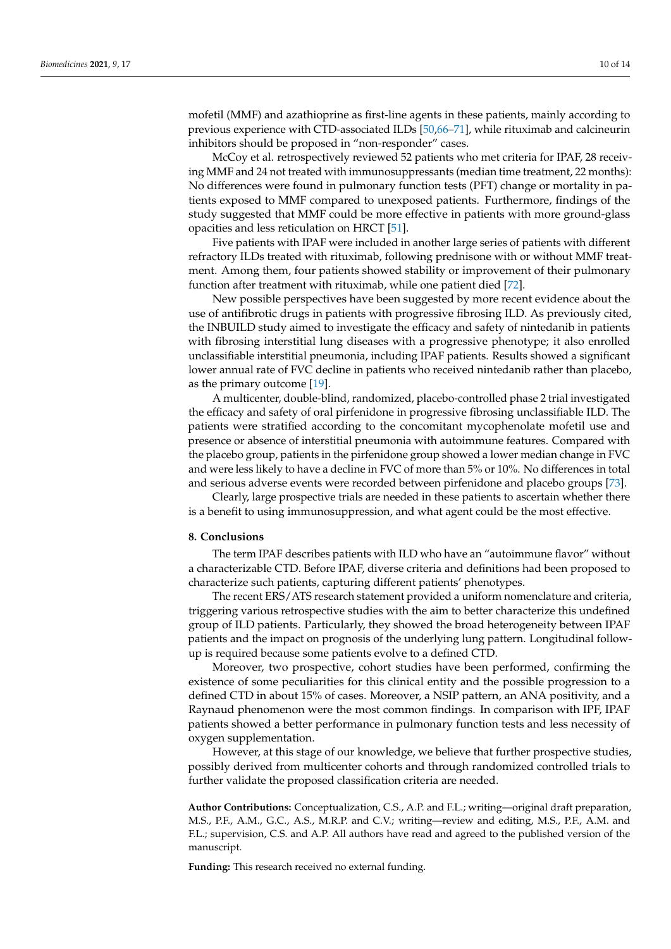mofetil (MMF) and azathioprine as first-line agents in these patients, mainly according to previous experience with CTD-associated ILDs [\[50](#page-12-4)[,66–](#page-12-20)[71\]](#page-13-0), while rituximab and calcineurin inhibitors should be proposed in "non-responder" cases.

McCoy et al. retrospectively reviewed 52 patients who met criteria for IPAF, 28 receiving MMF and 24 not treated with immunosuppressants (median time treatment, 22 months): No differences were found in pulmonary function tests (PFT) change or mortality in patients exposed to MMF compared to unexposed patients. Furthermore, findings of the study suggested that MMF could be more effective in patients with more ground-glass opacities and less reticulation on HRCT [\[51\]](#page-12-5).

Five patients with IPAF were included in another large series of patients with different refractory ILDs treated with rituximab, following prednisone with or without MMF treatment. Among them, four patients showed stability or improvement of their pulmonary function after treatment with rituximab, while one patient died [\[72\]](#page-13-1).

New possible perspectives have been suggested by more recent evidence about the use of antifibrotic drugs in patients with progressive fibrosing ILD. As previously cited, the INBUILD study aimed to investigate the efficacy and safety of nintedanib in patients with fibrosing interstitial lung diseases with a progressive phenotype; it also enrolled unclassifiable interstitial pneumonia, including IPAF patients. Results showed a significant lower annual rate of FVC decline in patients who received nintedanib rather than placebo, as the primary outcome [\[19\]](#page-10-17).

A multicenter, double-blind, randomized, placebo-controlled phase 2 trial investigated the efficacy and safety of oral pirfenidone in progressive fibrosing unclassifiable ILD. The patients were stratified according to the concomitant mycophenolate mofetil use and presence or absence of interstitial pneumonia with autoimmune features. Compared with the placebo group, patients in the pirfenidone group showed a lower median change in FVC and were less likely to have a decline in FVC of more than 5% or 10%. No differences in total and serious adverse events were recorded between pirfenidone and placebo groups [\[73\]](#page-13-2).

Clearly, large prospective trials are needed in these patients to ascertain whether there is a benefit to using immunosuppression, and what agent could be the most effective.

#### **8. Conclusions**

The term IPAF describes patients with ILD who have an "autoimmune flavor" without a characterizable CTD. Before IPAF, diverse criteria and definitions had been proposed to characterize such patients, capturing different patients' phenotypes.

The recent ERS/ATS research statement provided a uniform nomenclature and criteria, triggering various retrospective studies with the aim to better characterize this undefined group of ILD patients. Particularly, they showed the broad heterogeneity between IPAF patients and the impact on prognosis of the underlying lung pattern. Longitudinal followup is required because some patients evolve to a defined CTD.

Moreover, two prospective, cohort studies have been performed, confirming the existence of some peculiarities for this clinical entity and the possible progression to a defined CTD in about 15% of cases. Moreover, a NSIP pattern, an ANA positivity, and a Raynaud phenomenon were the most common findings. In comparison with IPF, IPAF patients showed a better performance in pulmonary function tests and less necessity of oxygen supplementation.

However, at this stage of our knowledge, we believe that further prospective studies, possibly derived from multicenter cohorts and through randomized controlled trials to further validate the proposed classification criteria are needed.

**Author Contributions:** Conceptualization, C.S., A.P. and F.L.; writing—original draft preparation, M.S., P.F., A.M., G.C., A.S., M.R.P. and C.V.; writing—review and editing, M.S., P.F., A.M. and F.L.; supervision, C.S. and A.P. All authors have read and agreed to the published version of the manuscript.

**Funding:** This research received no external funding.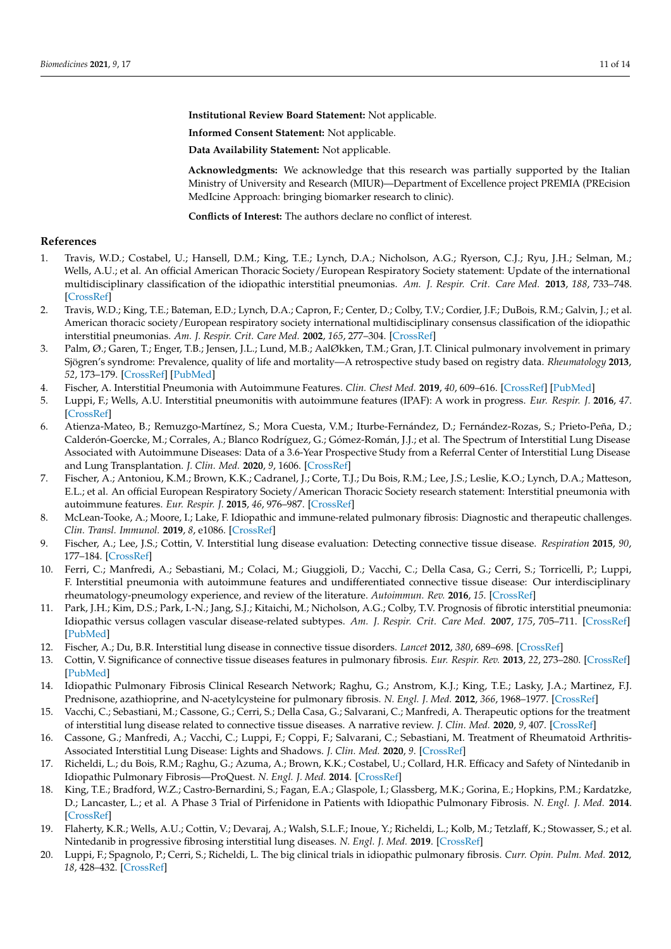**Institutional Review Board Statement:** Not applicable.

**Informed Consent Statement:** Not applicable.

**Data Availability Statement:** Not applicable.

**Acknowledgments:** We acknowledge that this research was partially supported by the Italian Ministry of University and Research (MIUR)—Department of Excellence project PREMIA (PREcision MedIcine Approach: bringing biomarker research to clinic).

**Conflicts of Interest:** The authors declare no conflict of interest.

# **References**

- <span id="page-10-0"></span>1. Travis, W.D.; Costabel, U.; Hansell, D.M.; King, T.E.; Lynch, D.A.; Nicholson, A.G.; Ryerson, C.J.; Ryu, J.H.; Selman, M.; Wells, A.U.; et al. An official American Thoracic Society/European Respiratory Society statement: Update of the international multidisciplinary classification of the idiopathic interstitial pneumonias. *Am. J. Respir. Crit. Care Med.* **2013**, *188*, 733–748. [\[CrossRef\]](http://dx.doi.org/10.1164/rccm.201308-1483ST)
- <span id="page-10-1"></span>2. Travis, W.D.; King, T.E.; Bateman, E.D.; Lynch, D.A.; Capron, F.; Center, D.; Colby, T.V.; Cordier, J.F.; DuBois, R.M.; Galvin, J.; et al. American thoracic society/European respiratory society international multidisciplinary consensus classification of the idiopathic interstitial pneumonias. *Am. J. Respir. Crit. Care Med.* **2002**, *165*, 277–304. [\[CrossRef\]](http://dx.doi.org/10.1164/ajrccm.165.2.ats01)
- <span id="page-10-2"></span>3. Palm, Ø.; Garen, T.; Enger, T.B.; Jensen, J.L.; Lund, M.B.; AalØkken, T.M.; Gran, J.T. Clinical pulmonary involvement in primary Sjögren's syndrome: Prevalence, quality of life and mortality—A retrospective study based on registry data. *Rheumatology* **2013**, *52*, 173–179. [\[CrossRef\]](http://dx.doi.org/10.1093/rheumatology/kes311) [\[PubMed\]](http://www.ncbi.nlm.nih.gov/pubmed/23192906)
- <span id="page-10-3"></span>4. Fischer, A. Interstitial Pneumonia with Autoimmune Features. *Clin. Chest Med.* **2019**, *40*, 609–616. [\[CrossRef\]](http://dx.doi.org/10.1016/j.ccm.2019.05.007) [\[PubMed\]](http://www.ncbi.nlm.nih.gov/pubmed/31376895)
- <span id="page-10-4"></span>5. Luppi, F.; Wells, A.U. Interstitial pneumonitis with autoimmune features (IPAF): A work in progress. *Eur. Respir. J.* **2016**, *47*. [\[CrossRef\]](http://dx.doi.org/10.1183/13993003.00690-2016)
- <span id="page-10-5"></span>6. Atienza-Mateo, B.; Remuzgo-Martínez, S.; Mora Cuesta, V.M.; Iturbe-Fernández, D.; Fernández-Rozas, S.; Prieto-Peña, D.; Calderón-Goercke, M.; Corrales, A.; Blanco Rodríguez, G.; Gómez-Román, J.J.; et al. The Spectrum of Interstitial Lung Disease Associated with Autoimmune Diseases: Data of a 3.6-Year Prospective Study from a Referral Center of Interstitial Lung Disease and Lung Transplantation. *J. Clin. Med.* **2020**, *9*, 1606. [\[CrossRef\]](http://dx.doi.org/10.3390/jcm9061606)
- <span id="page-10-6"></span>7. Fischer, A.; Antoniou, K.M.; Brown, K.K.; Cadranel, J.; Corte, T.J.; Du Bois, R.M.; Lee, J.S.; Leslie, K.O.; Lynch, D.A.; Matteson, E.L.; et al. An official European Respiratory Society/American Thoracic Society research statement: Interstitial pneumonia with autoimmune features. *Eur. Respir. J.* **2015**, *46*, 976–987. [\[CrossRef\]](http://dx.doi.org/10.1183/13993003.00150-2015)
- <span id="page-10-7"></span>8. McLean-Tooke, A.; Moore, I.; Lake, F. Idiopathic and immune-related pulmonary fibrosis: Diagnostic and therapeutic challenges. *Clin. Transl. Immunol.* **2019**, *8*, e1086. [\[CrossRef\]](http://dx.doi.org/10.1002/cti2.1086)
- <span id="page-10-9"></span>9. Fischer, A.; Lee, J.S.; Cottin, V. Interstitial lung disease evaluation: Detecting connective tissue disease. *Respiration* **2015**, *90*, 177–184. [\[CrossRef\]](http://dx.doi.org/10.1159/000440665)
- <span id="page-10-8"></span>10. Ferri, C.; Manfredi, A.; Sebastiani, M.; Colaci, M.; Giuggioli, D.; Vacchi, C.; Della Casa, G.; Cerri, S.; Torricelli, P.; Luppi, F. Interstitial pneumonia with autoimmune features and undifferentiated connective tissue disease: Our interdisciplinary rheumatology-pneumology experience, and review of the literature. *Autoimmun. Rev.* **2016**, *15*. [\[CrossRef\]](http://dx.doi.org/10.1016/j.autrev.2015.09.003)
- <span id="page-10-10"></span>11. Park, J.H.; Kim, D.S.; Park, I.-N.; Jang, S.J.; Kitaichi, M.; Nicholson, A.G.; Colby, T.V. Prognosis of fibrotic interstitial pneumonia: Idiopathic versus collagen vascular disease-related subtypes. *Am. J. Respir. Crit. Care Med.* **2007**, *175*, 705–711. [\[CrossRef\]](http://dx.doi.org/10.1164/rccm.200607-912OC) [\[PubMed\]](http://www.ncbi.nlm.nih.gov/pubmed/17218621)
- 12. Fischer, A.; Du, B.R. Interstitial lung disease in connective tissue disorders. *Lancet* **2012**, *380*, 689–698. [\[CrossRef\]](http://dx.doi.org/10.1016/S0140-6736(12)61079-4)
- <span id="page-10-11"></span>13. Cottin, V. Significance of connective tissue diseases features in pulmonary fibrosis. *Eur. Respir. Rev.* **2013**, *22*, 273–280. [\[CrossRef\]](http://dx.doi.org/10.1183/09059180.00003013) [\[PubMed\]](http://www.ncbi.nlm.nih.gov/pubmed/23997055)
- <span id="page-10-12"></span>14. Idiopathic Pulmonary Fibrosis Clinical Research Network; Raghu, G.; Anstrom, K.J.; King, T.E.; Lasky, J.A.; Martinez, F.J. Prednisone, azathioprine, and N-acetylcysteine for pulmonary fibrosis. *N. Engl. J. Med.* **2012**, *366*, 1968–1977. [\[CrossRef\]](http://dx.doi.org/10.1056/NEJMoa1113354)
- <span id="page-10-13"></span>15. Vacchi, C.; Sebastiani, M.; Cassone, G.; Cerri, S.; Della Casa, G.; Salvarani, C.; Manfredi, A. Therapeutic options for the treatment of interstitial lung disease related to connective tissue diseases. A narrative review. *J. Clin. Med.* **2020**, *9*, 407. [\[CrossRef\]](http://dx.doi.org/10.3390/jcm9020407)
- <span id="page-10-14"></span>16. Cassone, G.; Manfredi, A.; Vacchi, C.; Luppi, F.; Coppi, F.; Salvarani, C.; Sebastiani, M. Treatment of Rheumatoid Arthritis-Associated Interstitial Lung Disease: Lights and Shadows. *J. Clin. Med.* **2020**, *9*. [\[CrossRef\]](http://dx.doi.org/10.3390/jcm9041082)
- <span id="page-10-15"></span>17. Richeldi, L.; du Bois, R.M.; Raghu, G.; Azuma, A.; Brown, K.K.; Costabel, U.; Collard, H.R. Efficacy and Safety of Nintedanib in Idiopathic Pulmonary Fibrosis—ProQuest. *N. Engl. J. Med.* **2014**. [\[CrossRef\]](http://dx.doi.org/10.1056/NEJMoa1402584)
- <span id="page-10-16"></span>18. King, T.E.; Bradford, W.Z.; Castro-Bernardini, S.; Fagan, E.A.; Glaspole, I.; Glassberg, M.K.; Gorina, E.; Hopkins, P.M.; Kardatzke, D.; Lancaster, L.; et al. A Phase 3 Trial of Pirfenidone in Patients with Idiopathic Pulmonary Fibrosis. *N. Engl. J. Med.* **2014**. [\[CrossRef\]](http://dx.doi.org/10.1056/NEJMoa1402582)
- <span id="page-10-17"></span>19. Flaherty, K.R.; Wells, A.U.; Cottin, V.; Devaraj, A.; Walsh, S.L.F.; Inoue, Y.; Richeldi, L.; Kolb, M.; Tetzlaff, K.; Stowasser, S.; et al. Nintedanib in progressive fibrosing interstitial lung diseases. *N. Engl. J. Med.* **2019**. [\[CrossRef\]](http://dx.doi.org/10.1056/NEJMoa1908681)
- <span id="page-10-18"></span>20. Luppi, F.; Spagnolo, P.; Cerri, S.; Richeldi, L. The big clinical trials in idiopathic pulmonary fibrosis. *Curr. Opin. Pulm. Med.* **2012**, *18*, 428–432. [\[CrossRef\]](http://dx.doi.org/10.1097/MCP.0b013e3283567ff9)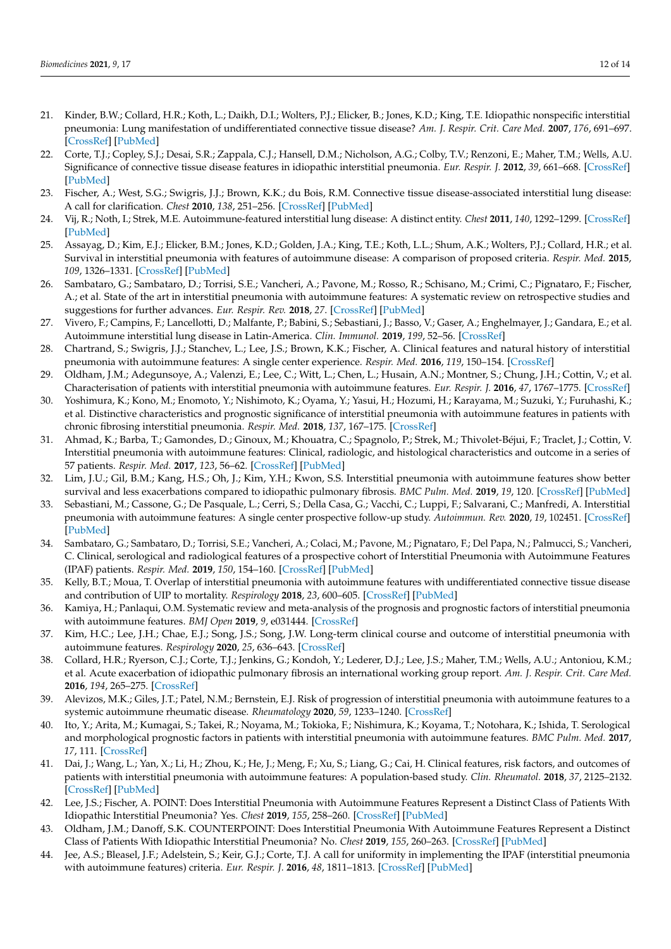- <span id="page-11-23"></span><span id="page-11-19"></span><span id="page-11-18"></span><span id="page-11-0"></span>21. Kinder, B.W.; Collard, H.R.; Koth, L.; Daikh, D.I.; Wolters, P.J.; Elicker, B.; Jones, K.D.; King, T.E. Idiopathic nonspecific interstitial pneumonia: Lung manifestation of undifferentiated connective tissue disease? *Am. J. Respir. Crit. Care Med.* **2007**, *176*, 691–697. [\[CrossRef\]](http://dx.doi.org/10.1164/rccm.200702-220OC) [\[PubMed\]](http://www.ncbi.nlm.nih.gov/pubmed/17556720)
- <span id="page-11-20"></span><span id="page-11-1"></span>22. Corte, T.J.; Copley, S.J.; Desai, S.R.; Zappala, C.J.; Hansell, D.M.; Nicholson, A.G.; Colby, T.V.; Renzoni, E.; Maher, T.M.; Wells, A.U. Significance of connective tissue disease features in idiopathic interstitial pneumonia. *Eur. Respir. J.* **2012**, *39*, 661–668. [\[CrossRef\]](http://dx.doi.org/10.1183/09031936.00174910) [\[PubMed\]](http://www.ncbi.nlm.nih.gov/pubmed/21920896)
- <span id="page-11-25"></span><span id="page-11-2"></span>23. Fischer, A.; West, S.G.; Swigris, J.J.; Brown, K.K.; du Bois, R.M. Connective tissue disease-associated interstitial lung disease: A call for clarification. *Chest* **2010**, *138*, 251–256. [\[CrossRef\]](http://dx.doi.org/10.1378/chest.10-0194) [\[PubMed\]](http://www.ncbi.nlm.nih.gov/pubmed/20682528)
- <span id="page-11-29"></span><span id="page-11-3"></span>24. Vij, R.; Noth, I.; Strek, M.E. Autoimmune-featured interstitial lung disease: A distinct entity. *Chest* **2011**, *140*, 1292–1299. [\[CrossRef\]](http://dx.doi.org/10.1378/chest.10-2662) [\[PubMed\]](http://www.ncbi.nlm.nih.gov/pubmed/21565966)
- <span id="page-11-28"></span><span id="page-11-4"></span>25. Assayag, D.; Kim, E.J.; Elicker, B.M.; Jones, K.D.; Golden, J.A.; King, T.E.; Koth, L.L.; Shum, A.K.; Wolters, P.J.; Collard, H.R.; et al. Survival in interstitial pneumonia with features of autoimmune disease: A comparison of proposed criteria. *Respir. Med.* **2015**, *109*, 1326–1331. [\[CrossRef\]](http://dx.doi.org/10.1016/j.rmed.2015.08.010) [\[PubMed\]](http://www.ncbi.nlm.nih.gov/pubmed/26303338)
- <span id="page-11-24"></span><span id="page-11-5"></span>26. Sambataro, G.; Sambataro, D.; Torrisi, S.E.; Vancheri, A.; Pavone, M.; Rosso, R.; Schisano, M.; Crimi, C.; Pignataro, F.; Fischer, A.; et al. State of the art in interstitial pneumonia with autoimmune features: A systematic review on retrospective studies and suggestions for further advances. *Eur. Respir. Rev.* **2018**, *27*. [\[CrossRef\]](http://dx.doi.org/10.1183/16000617.0139-2017) [\[PubMed\]](http://www.ncbi.nlm.nih.gov/pubmed/29720509)
- <span id="page-11-6"></span>27. Vivero, F.; Campins, F.; Lancellotti, D.; Malfante, P.; Babini, S.; Sebastiani, J.; Basso, V.; Gaser, A.; Enghelmayer, J.; Gandara, E.; et al. Autoimmune interstitial lung disease in Latin-America. *Clin. Immunol.* **2019**, *199*, 52–56. [\[CrossRef\]](http://dx.doi.org/10.1016/j.clim.2018.12.013)
- <span id="page-11-27"></span><span id="page-11-7"></span>28. Chartrand, S.; Swigris, J.J.; Stanchev, L.; Lee, J.S.; Brown, K.K.; Fischer, A. Clinical features and natural history of interstitial pneumonia with autoimmune features: A single center experience. *Respir. Med.* **2016**, *119*, 150–154. [\[CrossRef\]](http://dx.doi.org/10.1016/j.rmed.2016.09.002)
- <span id="page-11-12"></span>29. Oldham, J.M.; Adegunsoye, A.; Valenzi, E.; Lee, C.; Witt, L.; Chen, L.; Husain, A.N.; Montner, S.; Chung, J.H.; Cottin, V.; et al. Characterisation of patients with interstitial pneumonia with autoimmune features. *Eur. Respir. J.* **2016**, *47*, 1767–1775. [\[CrossRef\]](http://dx.doi.org/10.1183/13993003.01565-2015)
- <span id="page-11-26"></span><span id="page-11-17"></span>30. Yoshimura, K.; Kono, M.; Enomoto, Y.; Nishimoto, K.; Oyama, Y.; Yasui, H.; Hozumi, H.; Karayama, M.; Suzuki, Y.; Furuhashi, K.; et al. Distinctive characteristics and prognostic significance of interstitial pneumonia with autoimmune features in patients with chronic fibrosing interstitial pneumonia. *Respir. Med.* **2018**, *137*, 167–175. [\[CrossRef\]](http://dx.doi.org/10.1016/j.rmed.2018.02.024)
- <span id="page-11-21"></span><span id="page-11-9"></span>31. Ahmad, K.; Barba, T.; Gamondes, D.; Ginoux, M.; Khouatra, C.; Spagnolo, P.; Strek, M.; Thivolet-Béjui, F.; Traclet, J.; Cottin, V. Interstitial pneumonia with autoimmune features: Clinical, radiologic, and histological characteristics and outcome in a series of 57 patients. *Respir. Med.* **2017**, *123*, 56–62. [\[CrossRef\]](http://dx.doi.org/10.1016/j.rmed.2016.10.017) [\[PubMed\]](http://www.ncbi.nlm.nih.gov/pubmed/28137497)
- <span id="page-11-22"></span><span id="page-11-8"></span>32. Lim, J.U.; Gil, B.M.; Kang, H.S.; Oh, J.; Kim, Y.H.; Kwon, S.S. Interstitial pneumonia with autoimmune features show better survival and less exacerbations compared to idiopathic pulmonary fibrosis. *BMC Pulm. Med.* **2019**, *19*, 120. [\[CrossRef\]](http://dx.doi.org/10.1186/s12890-019-0868-9) [\[PubMed\]](http://www.ncbi.nlm.nih.gov/pubmed/31272428)
- <span id="page-11-11"></span>33. Sebastiani, M.; Cassone, G.; De Pasquale, L.; Cerri, S.; Della Casa, G.; Vacchi, C.; Luppi, F.; Salvarani, C.; Manfredi, A. Interstitial pneumonia with autoimmune features: A single center prospective follow-up study. *Autoimmun. Rev.* **2020**, *19*, 102451. [\[CrossRef\]](http://dx.doi.org/10.1016/j.autrev.2019.102451) [\[PubMed\]](http://www.ncbi.nlm.nih.gov/pubmed/31838159)
- <span id="page-11-10"></span>34. Sambataro, G.; Sambataro, D.; Torrisi, S.E.; Vancheri, A.; Colaci, M.; Pavone, M.; Pignataro, F.; Del Papa, N.; Palmucci, S.; Vancheri, C. Clinical, serological and radiological features of a prospective cohort of Interstitial Pneumonia with Autoimmune Features (IPAF) patients. *Respir. Med.* **2019**, *150*, 154–160. [\[CrossRef\]](http://dx.doi.org/10.1016/j.rmed.2019.03.011) [\[PubMed\]](http://www.ncbi.nlm.nih.gov/pubmed/30961944)
- <span id="page-11-13"></span>35. Kelly, B.T.; Moua, T. Overlap of interstitial pneumonia with autoimmune features with undifferentiated connective tissue disease and contribution of UIP to mortality. *Respirology* **2018**, *23*, 600–605. [\[CrossRef\]](http://dx.doi.org/10.1111/resp.13254) [\[PubMed\]](http://www.ncbi.nlm.nih.gov/pubmed/29320807)
- <span id="page-11-14"></span>36. Kamiya, H.; Panlaqui, O.M. Systematic review and meta-analysis of the prognosis and prognostic factors of interstitial pneumonia with autoimmune features. *BMJ Open* **2019**, *9*, e031444. [\[CrossRef\]](http://dx.doi.org/10.1136/bmjopen-2019-031444)
- <span id="page-11-15"></span>37. Kim, H.C.; Lee, J.H.; Chae, E.J.; Song, J.S.; Song, J.W. Long-term clinical course and outcome of interstitial pneumonia with autoimmune features. *Respirology* **2020**, *25*, 636–643. [\[CrossRef\]](http://dx.doi.org/10.1111/resp.13665)
- <span id="page-11-16"></span>38. Collard, H.R.; Ryerson, C.J.; Corte, T.J.; Jenkins, G.; Kondoh, Y.; Lederer, D.J.; Lee, J.S.; Maher, T.M.; Wells, A.U.; Antoniou, K.M.; et al. Acute exacerbation of idiopathic pulmonary fibrosis an international working group report. *Am. J. Respir. Crit. Care Med.* **2016**, *194*, 265–275. [\[CrossRef\]](http://dx.doi.org/10.1164/rccm.201604-0801CI)
- <span id="page-11-30"></span>39. Alevizos, M.K.; Giles, J.T.; Patel, N.M.; Bernstein, E.J. Risk of progression of interstitial pneumonia with autoimmune features to a systemic autoimmune rheumatic disease. *Rheumatology* **2020**, *59*, 1233–1240. [\[CrossRef\]](http://dx.doi.org/10.1093/rheumatology/kez404)
- <span id="page-11-34"></span>40. Ito, Y.; Arita, M.; Kumagai, S.; Takei, R.; Noyama, M.; Tokioka, F.; Nishimura, K.; Koyama, T.; Notohara, K.; Ishida, T. Serological and morphological prognostic factors in patients with interstitial pneumonia with autoimmune features. *BMC Pulm. Med.* **2017**, *17*, 111. [\[CrossRef\]](http://dx.doi.org/10.1186/s12890-017-0453-z)
- 41. Dai, J.; Wang, L.; Yan, X.; Li, H.; Zhou, K.; He, J.; Meng, F.; Xu, S.; Liang, G.; Cai, H. Clinical features, risk factors, and outcomes of patients with interstitial pneumonia with autoimmune features: A population-based study. *Clin. Rheumatol.* **2018**, *37*, 2125–2132. [\[CrossRef\]](http://dx.doi.org/10.1007/s10067-018-4111-5) [\[PubMed\]](http://www.ncbi.nlm.nih.gov/pubmed/29667101)
- <span id="page-11-31"></span>42. Lee, J.S.; Fischer, A. POINT: Does Interstitial Pneumonia with Autoimmune Features Represent a Distinct Class of Patients With Idiopathic Interstitial Pneumonia? Yes. *Chest* **2019**, *155*, 258–260. [\[CrossRef\]](http://dx.doi.org/10.1016/j.chest.2018.08.1074) [\[PubMed\]](http://www.ncbi.nlm.nih.gov/pubmed/30732687)
- <span id="page-11-32"></span>43. Oldham, J.M.; Danoff, S.K. COUNTERPOINT: Does Interstitial Pneumonia With Autoimmune Features Represent a Distinct Class of Patients With Idiopathic Interstitial Pneumonia? No. *Chest* **2019**, *155*, 260–263. [\[CrossRef\]](http://dx.doi.org/10.1016/j.chest.2018.08.1073) [\[PubMed\]](http://www.ncbi.nlm.nih.gov/pubmed/30732688)
- <span id="page-11-33"></span>44. Jee, A.S.; Bleasel, J.F.; Adelstein, S.; Keir, G.J.; Corte, T.J. A call for uniformity in implementing the IPAF (interstitial pneumonia with autoimmune features) criteria. *Eur. Respir. J.* **2016**, *48*, 1811–1813. [\[CrossRef\]](http://dx.doi.org/10.1183/13993003.01259-2016) [\[PubMed\]](http://www.ncbi.nlm.nih.gov/pubmed/27903692)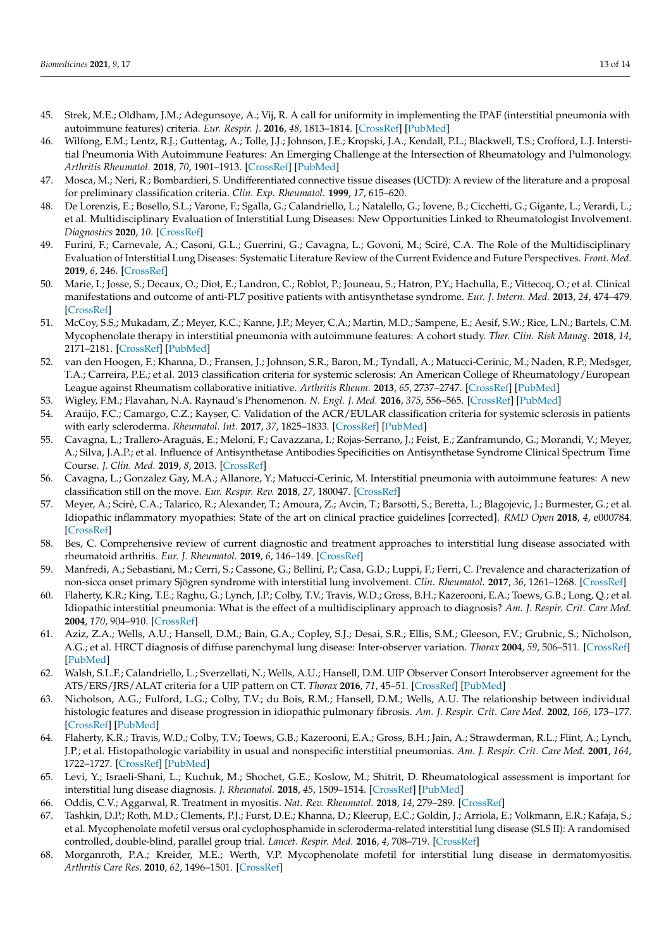- 45. Strek, M.E.; Oldham, J.M.; Adegunsoye, A.; Vij, R. A call for uniformity in implementing the IPAF (interstitial pneumonia with autoimmune features) criteria. *Eur. Respir. J.* **2016**, *48*, 1813–1814. [\[CrossRef\]](http://dx.doi.org/10.1183/13993003.01841-2016) [\[PubMed\]](http://www.ncbi.nlm.nih.gov/pubmed/27903693)
- <span id="page-12-0"></span>46. Wilfong, E.M.; Lentz, R.J.; Guttentag, A.; Tolle, J.J.; Johnson, J.E.; Kropski, J.A.; Kendall, P.L.; Blackwell, T.S.; Crofford, L.J. Interstitial Pneumonia With Autoimmune Features: An Emerging Challenge at the Intersection of Rheumatology and Pulmonology. *Arthritis Rheumatol.* **2018**, *70*, 1901–1913. [\[CrossRef\]](http://dx.doi.org/10.1002/art.40679) [\[PubMed\]](http://www.ncbi.nlm.nih.gov/pubmed/30058242)
- <span id="page-12-1"></span>47. Mosca, M.; Neri, R.; Bombardieri, S. Undifferentiated connective tissue diseases (UCTD): A review of the literature and a proposal for preliminary classification criteria. *Clin. Exp. Rheumatol.* **1999**, *17*, 615–620.
- <span id="page-12-2"></span>48. De Lorenzis, E.; Bosello, S.L.; Varone, F.; Sgalla, G.; Calandriello, L.; Natalello, G.; Iovene, B.; Cicchetti, G.; Gigante, L.; Verardi, L.; et al. Multidisciplinary Evaluation of Interstitial Lung Diseases: New Opportunities Linked to Rheumatologist Involvement. *Diagnostics* **2020**, *10*. [\[CrossRef\]](http://dx.doi.org/10.3390/diagnostics10090664)
- <span id="page-12-3"></span>49. Furini, F.; Carnevale, A.; Casoni, G.L.; Guerrini, G.; Cavagna, L.; Govoni, M.; Sciré, C.A. The Role of the Multidisciplinary Evaluation of Interstitial Lung Diseases: Systematic Literature Review of the Current Evidence and Future Perspectives. *Front. Med.* **2019**, *6*, 246. [\[CrossRef\]](http://dx.doi.org/10.3389/fmed.2019.00246)
- <span id="page-12-4"></span>50. Marie, I.; Josse, S.; Decaux, O.; Diot, E.; Landron, C.; Roblot, P.; Jouneau, S.; Hatron, P.Y.; Hachulla, E.; Vittecoq, O.; et al. Clinical manifestations and outcome of anti-PL7 positive patients with antisynthetase syndrome. *Eur. J. Intern. Med.* **2013**, *24*, 474–479. [\[CrossRef\]](http://dx.doi.org/10.1016/j.ejim.2013.01.002)
- <span id="page-12-5"></span>51. McCoy, S.S.; Mukadam, Z.; Meyer, K.C.; Kanne, J.P.; Meyer, C.A.; Martin, M.D.; Sampene, E.; Aesif, S.W.; Rice, L.N.; Bartels, C.M. Mycophenolate therapy in interstitial pneumonia with autoimmune features: A cohort study. *Ther. Clin. Risk Manag.* **2018**, *14*, 2171–2181. [\[CrossRef\]](http://dx.doi.org/10.2147/TCRM.S173154) [\[PubMed\]](http://www.ncbi.nlm.nih.gov/pubmed/30464490)
- <span id="page-12-6"></span>52. van den Hoogen, F.; Khanna, D.; Fransen, J.; Johnson, S.R.; Baron, M.; Tyndall, A.; Matucci-Cerinic, M.; Naden, R.P.; Medsger, T.A.; Carreira, P.E.; et al. 2013 classification criteria for systemic sclerosis: An American College of Rheumatology/European League against Rheumatism collaborative initiative. *Arthritis Rheum.* **2013**, *65*, 2737–2747. [\[CrossRef\]](http://dx.doi.org/10.1002/art.38098) [\[PubMed\]](http://www.ncbi.nlm.nih.gov/pubmed/24122180)
- <span id="page-12-7"></span>53. Wigley, F.M.; Flavahan, N.A. Raynaud's Phenomenon. *N. Engl. J. Med.* **2016**, *375*, 556–565. [\[CrossRef\]](http://dx.doi.org/10.1056/NEJMra1507638) [\[PubMed\]](http://www.ncbi.nlm.nih.gov/pubmed/27509103)
- <span id="page-12-8"></span>54. Araújo, F.C.; Camargo, C.Z.; Kayser, C. Validation of the ACR/EULAR classification criteria for systemic sclerosis in patients with early scleroderma. *Rheumatol. Int.* **2017**, *37*, 1825–1833. [\[CrossRef\]](http://dx.doi.org/10.1007/s00296-017-3787-1) [\[PubMed\]](http://www.ncbi.nlm.nih.gov/pubmed/28819792)
- <span id="page-12-9"></span>55. Cavagna, L.; Trallero-Araguás, E.; Meloni, F.; Cavazzana, I.; Rojas-Serrano, J.; Feist, E.; Zanframundo, G.; Morandi, V.; Meyer, A.; Silva, J.A.P.; et al. Influence of Antisynthetase Antibodies Specificities on Antisynthetase Syndrome Clinical Spectrum Time Course. *J. Clin. Med.* **2019**, *8*, 2013. [\[CrossRef\]](http://dx.doi.org/10.3390/jcm8112013)
- <span id="page-12-10"></span>56. Cavagna, L.; Gonzalez Gay, M.A.; Allanore, Y.; Matucci-Cerinic, M. Interstitial pneumonia with autoimmune features: A new classification still on the move. *Eur. Respir. Rev.* **2018**, *27*, 180047. [\[CrossRef\]](http://dx.doi.org/10.1183/16000617.0047-2018)
- <span id="page-12-11"></span>57. Meyer, A.; Scirè, C.A.; Talarico, R.; Alexander, T.; Amoura, Z.; Avcin, T.; Barsotti, S.; Beretta, L.; Blagojevic, J.; Burmester, G.; et al. Idiopathic inflammatory myopathies: State of the art on clinical practice guidelines [corrected]. *RMD Open* **2018**, *4*, e000784. [\[CrossRef\]](http://dx.doi.org/10.1136/rmdopen-2018-000784)
- <span id="page-12-12"></span>58. Bes, C. Comprehensive review of current diagnostic and treatment approaches to interstitial lung disease associated with rheumatoid arthritis. *Eur. J. Rheumatol.* **2019**, *6*, 146–149. [\[CrossRef\]](http://dx.doi.org/10.5152/eurjrheum.2019.19036)
- <span id="page-12-13"></span>59. Manfredi, A.; Sebastiani, M.; Cerri, S.; Cassone, G.; Bellini, P.; Casa, G.D.; Luppi, F.; Ferri, C. Prevalence and characterization of non-sicca onset primary Sjögren syndrome with interstitial lung involvement. *Clin. Rheumatol.* **2017**, *36*, 1261–1268. [\[CrossRef\]](http://dx.doi.org/10.1007/s10067-017-3601-1)
- <span id="page-12-14"></span>60. Flaherty, K.R.; King, T.E.; Raghu, G.; Lynch, J.P.; Colby, T.V.; Travis, W.D.; Gross, B.H.; Kazerooni, E.A.; Toews, G.B.; Long, Q.; et al. Idiopathic interstitial pneumonia: What is the effect of a multidisciplinary approach to diagnosis? *Am. J. Respir. Crit. Care Med.* **2004**, *170*, 904–910. [\[CrossRef\]](http://dx.doi.org/10.1164/rccm.200402-147OC)
- <span id="page-12-15"></span>61. Aziz, Z.A.; Wells, A.U.; Hansell, D.M.; Bain, G.A.; Copley, S.J.; Desai, S.R.; Ellis, S.M.; Gleeson, F.V.; Grubnic, S.; Nicholson, A.G.; et al. HRCT diagnosis of diffuse parenchymal lung disease: Inter-observer variation. *Thorax* **2004**, *59*, 506–511. [\[CrossRef\]](http://dx.doi.org/10.1136/thx.2003.020396) [\[PubMed\]](http://www.ncbi.nlm.nih.gov/pubmed/15170034)
- <span id="page-12-16"></span>62. Walsh, S.L.F.; Calandriello, L.; Sverzellati, N.; Wells, A.U.; Hansell, D.M. UIP Observer Consort Interobserver agreement for the ATS/ERS/JRS/ALAT criteria for a UIP pattern on CT. *Thorax* **2016**, *71*, 45–51. [\[CrossRef\]](http://dx.doi.org/10.1136/thoraxjnl-2015-207252) [\[PubMed\]](http://www.ncbi.nlm.nih.gov/pubmed/26585524)
- <span id="page-12-17"></span>63. Nicholson, A.G.; Fulford, L.G.; Colby, T.V.; du Bois, R.M.; Hansell, D.M.; Wells, A.U. The relationship between individual histologic features and disease progression in idiopathic pulmonary fibrosis. *Am. J. Respir. Crit. Care Med.* **2002**, *166*, 173–177. [\[CrossRef\]](http://dx.doi.org/10.1164/rccm.2109039) [\[PubMed\]](http://www.ncbi.nlm.nih.gov/pubmed/12119229)
- <span id="page-12-18"></span>64. Flaherty, K.R.; Travis, W.D.; Colby, T.V.; Toews, G.B.; Kazerooni, E.A.; Gross, B.H.; Jain, A.; Strawderman, R.L.; Flint, A.; Lynch, J.P.; et al. Histopathologic variability in usual and nonspecific interstitial pneumonias. *Am. J. Respir. Crit. Care Med.* **2001**, *164*, 1722–1727. [\[CrossRef\]](http://dx.doi.org/10.1164/ajrccm.164.9.2103074) [\[PubMed\]](http://www.ncbi.nlm.nih.gov/pubmed/11719316)
- <span id="page-12-19"></span>65. Levi, Y.; Israeli-Shani, L.; Kuchuk, M.; Shochet, G.E.; Koslow, M.; Shitrit, D. Rheumatological assessment is important for interstitial lung disease diagnosis. *J. Rheumatol.* **2018**, *45*, 1509–1514. [\[CrossRef\]](http://dx.doi.org/10.3899/jrheum.171314) [\[PubMed\]](http://www.ncbi.nlm.nih.gov/pubmed/30111640)
- <span id="page-12-20"></span>66. Oddis, C.V.; Aggarwal, R. Treatment in myositis. *Nat. Rev. Rheumatol.* **2018**, *14*, 279–289. [\[CrossRef\]](http://dx.doi.org/10.1038/nrrheum.2018.42)
- 67. Tashkin, D.P.; Roth, M.D.; Clements, P.J.; Furst, D.E.; Khanna, D.; Kleerup, E.C.; Goldin, J.; Arriola, E.; Volkmann, E.R.; Kafaja, S.; et al. Mycophenolate mofetil versus oral cyclophosphamide in scleroderma-related interstitial lung disease (SLS II): A randomised controlled, double-blind, parallel group trial. *Lancet. Respir. Med.* **2016**, *4*, 708–719. [\[CrossRef\]](http://dx.doi.org/10.1016/S2213-2600(16)30152-7)
- 68. Morganroth, P.A.; Kreider, M.E.; Werth, V.P. Mycophenolate mofetil for interstitial lung disease in dermatomyositis. *Arthritis Care Res.* **2010**, *62*, 1496–1501. [\[CrossRef\]](http://dx.doi.org/10.1002/acr.20212)